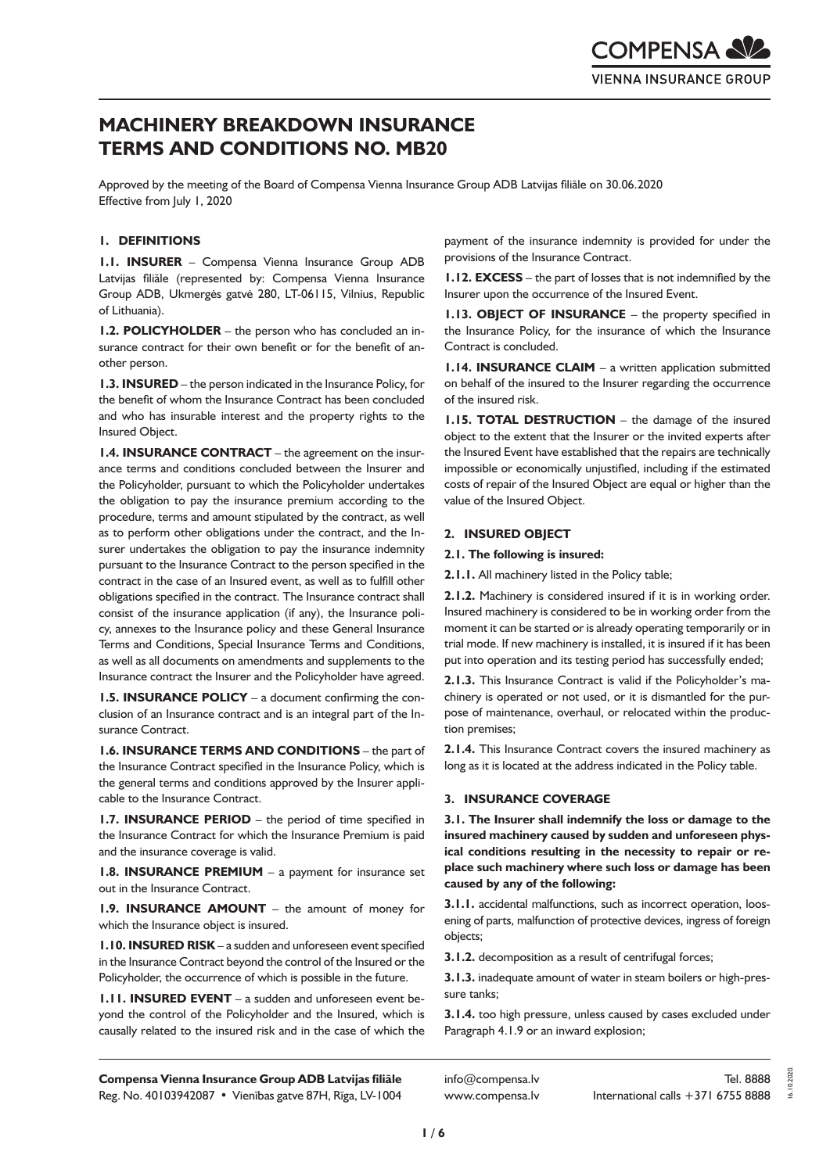# **MACHINERY BREAKDOWN INSURANCE TERMS AND CONDITIONS NO. MB20**

Approved by the meeting of the Board of Compensa Vienna Insurance Group ADB Latvijas filiāle on 30.06.2020 Effective from July 1, 2020

# **1. DEFINITIONS**

**1.1. INSURER** – Compensa Vienna Insurance Group ADB Latvijas filiāle (represented by: Compensa Vienna Insurance Group ADB, Ukmergės gatvė 280, LT-06115, Vilnius, Republic of Lithuania).

**1.2. POLICYHOLDER** – the person who has concluded an insurance contract for their own benefit or for the benefit of another person.

**1.3. INSURED** – the person indicated in the Insurance Policy, for the benefit of whom the Insurance Contract has been concluded and who has insurable interest and the property rights to the Insured Object.

**1.4. INSURANCE CONTRACT** – the agreement on the insurance terms and conditions concluded between the Insurer and the Policyholder, pursuant to which the Policyholder undertakes the obligation to pay the insurance premium according to the procedure, terms and amount stipulated by the contract, as well as to perform other obligations under the contract, and the Insurer undertakes the obligation to pay the insurance indemnity pursuant to the Insurance Contract to the person specified in the contract in the case of an Insured event, as well as to fulfill other obligations specified in the contract. The Insurance contract shall consist of the insurance application (if any), the Insurance policy, annexes to the Insurance policy and these General Insurance Terms and Conditions, Special Insurance Terms and Conditions, as well as all documents on amendments and supplements to the Insurance contract the Insurer and the Policyholder have agreed.

**1.5. INSURANCE POLICY** – a document confirming the conclusion of an Insurance contract and is an integral part of the Insurance Contract.

**1.6. INSURANCE TERMS AND CONDITIONS** – the part of the Insurance Contract specified in the Insurance Policy, which is the general terms and conditions approved by the Insurer applicable to the Insurance Contract.

**1.7. INSURANCE PERIOD** – the period of time specified in the Insurance Contract for which the Insurance Premium is paid and the insurance coverage is valid.

**1.8. INSURANCE PREMIUM** – a payment for insurance set out in the Insurance Contract.

**1.9. INSURANCE AMOUNT** – the amount of money for which the Insurance object is insured.

**1.10. INSURED RISK** – a sudden and unforeseen event specified in the Insurance Contract beyond the control of the Insured or the Policyholder, the occurrence of which is possible in the future.

**1.11. INSURED EVENT** – a sudden and unforeseen event beyond the control of the Policyholder and the Insured, which is causally related to the insured risk and in the case of which the payment of the insurance indemnity is provided for under the provisions of the Insurance Contract.

**1.12. EXCESS** – the part of losses that is not indemnified by the Insurer upon the occurrence of the Insured Event.

**1.13. OBJECT OF INSURANCE** – the property specified in the Insurance Policy, for the insurance of which the Insurance Contract is concluded.

**1.14. INSURANCE CLAIM** – a written application submitted on behalf of the insured to the Insurer regarding the occurrence of the insured risk.

**1.15. TOTAL DESTRUCTION** – the damage of the insured object to the extent that the Insurer or the invited experts after the Insured Event have established that the repairs are technically impossible or economically unjustified, including if the estimated costs of repair of the Insured Object are equal or higher than the value of the Insured Object.

#### **2. INSURED OBJECT**

#### **2.1. The following is insured:**

**2.1.1.** All machinery listed in the Policy table;

**2.1.2.** Machinery is considered insured if it is in working order. Insured machinery is considered to be in working order from the moment it can be started or is already operating temporarily or in trial mode. If new machinery is installed, it is insured if it has been put into operation and its testing period has successfully ended;

**2.1.3.** This Insurance Contract is valid if the Policyholder's machinery is operated or not used, or it is dismantled for the purpose of maintenance, overhaul, or relocated within the production premises;

**2.1.4.** This Insurance Contract covers the insured machinery as long as it is located at the address indicated in the Policy table.

# **3. INSURANCE COVERAGE**

**3.1. The Insurer shall indemnify the loss or damage to the insured machinery caused by sudden and unforeseen physical conditions resulting in the necessity to repair or replace such machinery where such loss or damage has been caused by any of the following:**

**3.1.1.** accidental malfunctions, such as incorrect operation, loosening of parts, malfunction of protective devices, ingress of foreign objects;

**3.1.2.** decomposition as a result of centrifugal forces;

**3.1.3.** inadequate amount of water in steam boilers or high-pressure tanks;

**3.1.4.** too high pressure, unless caused by cases excluded under Paragraph 4.1.9 or an inward explosion;

**Compensa Vienna Insurance Group ADB Latvijas filiāle**  Reg. No. 40103942087 • Vienības gatve 87H, Rīga, LV-1004

info@compensa.lv www.compensa.lv 16.10.2020.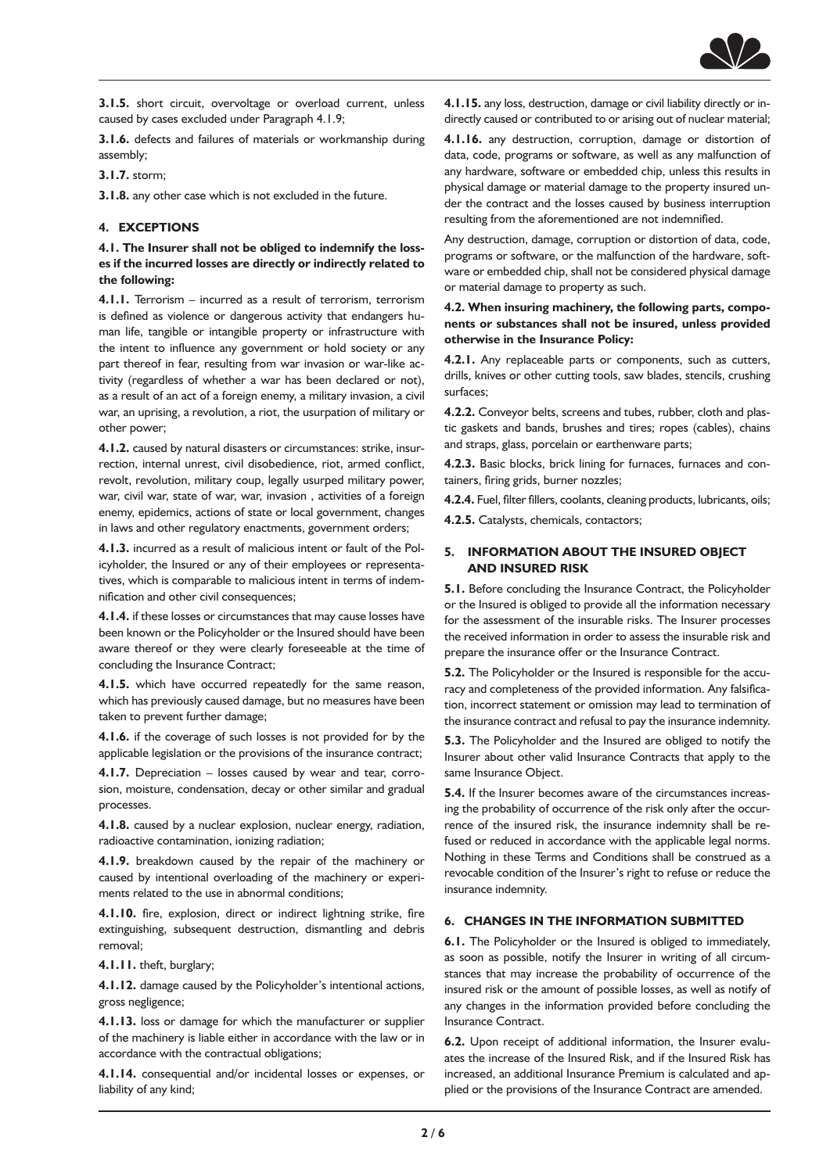

**3.1.5.** short circuit, overvoltage or overload current, unless caused by cases excluded under Paragraph 4.1.9;

**3.1.6.** defects and failures of materials or workmanship during assembly;

# **3.1.7.** storm;

**3.1.8.** any other case which is not excluded in the future.

#### **4. EXCEPTIONS**

**4.1. The Insurer shall not be obliged to indemnify the losses if the incurred losses are directly or indirectly related to the following:**

**4.1.1.** Terrorism – incurred as a result of terrorism, terrorism is defined as violence or dangerous activity that endangers human life, tangible or intangible property or infrastructure with the intent to influence any government or hold society or any part thereof in fear, resulting from war invasion or war-like activity (regardless of whether a war has been declared or not), as a result of an act of a foreign enemy, a military invasion, a civil war, an uprising, a revolution, a riot, the usurpation of military or other power;

**4.1.2.** caused by natural disasters or circumstances: strike, insurrection, internal unrest, civil disobedience, riot, armed conflict, revolt, revolution, military coup, legally usurped military power, war, civil war, state of war, war, invasion , activities of a foreign enemy, epidemics, actions of state or local government, changes in laws and other regulatory enactments, government orders;

**4.1.3.** incurred as a result of malicious intent or fault of the Policyholder, the Insured or any of their employees or representatives, which is comparable to malicious intent in terms of indemnification and other civil consequences;

**4.1.4.** if these losses or circumstances that may cause losses have been known or the Policyholder or the Insured should have been aware thereof or they were clearly foreseeable at the time of concluding the Insurance Contract;

**4.1.5.** which have occurred repeatedly for the same reason, which has previously caused damage, but no measures have been taken to prevent further damage;

**4.1.6.** if the coverage of such losses is not provided for by the applicable legislation or the provisions of the insurance contract;

**4.1.7.** Depreciation – losses caused by wear and tear, corrosion, moisture, condensation, decay or other similar and gradual processes.

**4.1.8.** caused by a nuclear explosion, nuclear energy, radiation, radioactive contamination, ionizing radiation;

**4.1.9.** breakdown caused by the repair of the machinery or caused by intentional overloading of the machinery or experiments related to the use in abnormal conditions;

**4.1.10.** fire, explosion, direct or indirect lightning strike, fire extinguishing, subsequent destruction, dismantling and debris removal;

**4.1.11.** theft, burglary;

**4.1.12.** damage caused by the Policyholder's intentional actions, gross negligence;

**4.1.13.** loss or damage for which the manufacturer or supplier of the machinery is liable either in accordance with the law or in accordance with the contractual obligations;

**4.1.14.** consequential and/or incidental losses or expenses, or liability of any kind;

**4.1.15.** any loss, destruction, damage or civil liability directly or indirectly caused or contributed to or arising out of nuclear material;

**4.1.16.** any destruction, corruption, damage or distortion of data, code, programs or software, as well as any malfunction of any hardware, software or embedded chip, unless this results in physical damage or material damage to the property insured under the contract and the losses caused by business interruption resulting from the aforementioned are not indemnified.

Any destruction, damage, corruption or distortion of data, code, programs or software, or the malfunction of the hardware, software or embedded chip, shall not be considered physical damage or material damage to property as such.

# **4.2. When insuring machinery, the following parts, components or substances shall not be insured, unless provided otherwise in the Insurance Policy:**

**4.2.1.** Any replaceable parts or components, such as cutters, drills, knives or other cutting tools, saw blades, stencils, crushing surfaces;

**4.2.2.** Conveyor belts, screens and tubes, rubber, cloth and plastic gaskets and bands, brushes and tires; ropes (cables), chains and straps, glass, porcelain or earthenware parts;

**4.2.3.** Basic blocks, brick lining for furnaces, furnaces and containers, firing grids, burner nozzles;

**4.2.4.** Fuel, filter fillers, coolants, cleaning products, lubricants, oils;

**4.2.5.** Catalysts, chemicals, contactors;

#### **5. INFORMATION ABOUT THE INSURED OBJECT AND INSURED RISK**

**5.1.** Before concluding the Insurance Contract, the Policyholder or the Insured is obliged to provide all the information necessary for the assessment of the insurable risks. The Insurer processes the received information in order to assess the insurable risk and prepare the insurance offer or the Insurance Contract.

**5.2.** The Policyholder or the Insured is responsible for the accuracy and completeness of the provided information. Any falsification, incorrect statement or omission may lead to termination of the insurance contract and refusal to pay the insurance indemnity.

**5.3.** The Policyholder and the Insured are obliged to notify the Insurer about other valid Insurance Contracts that apply to the same Insurance Object.

**5.4.** If the Insurer becomes aware of the circumstances increasing the probability of occurrence of the risk only after the occurrence of the insured risk, the insurance indemnity shall be refused or reduced in accordance with the applicable legal norms. Nothing in these Terms and Conditions shall be construed as a revocable condition of the Insurer's right to refuse or reduce the insurance indemnity.

# **6. CHANGES IN THE INFORMATION SUBMITTED**

**6.1.** The Policyholder or the Insured is obliged to immediately, as soon as possible, notify the Insurer in writing of all circumstances that may increase the probability of occurrence of the insured risk or the amount of possible losses, as well as notify of any changes in the information provided before concluding the Insurance Contract.

**6.2.** Upon receipt of additional information, the Insurer evaluates the increase of the Insured Risk, and if the Insured Risk has increased, an additional Insurance Premium is calculated and applied or the provisions of the Insurance Contract are amended.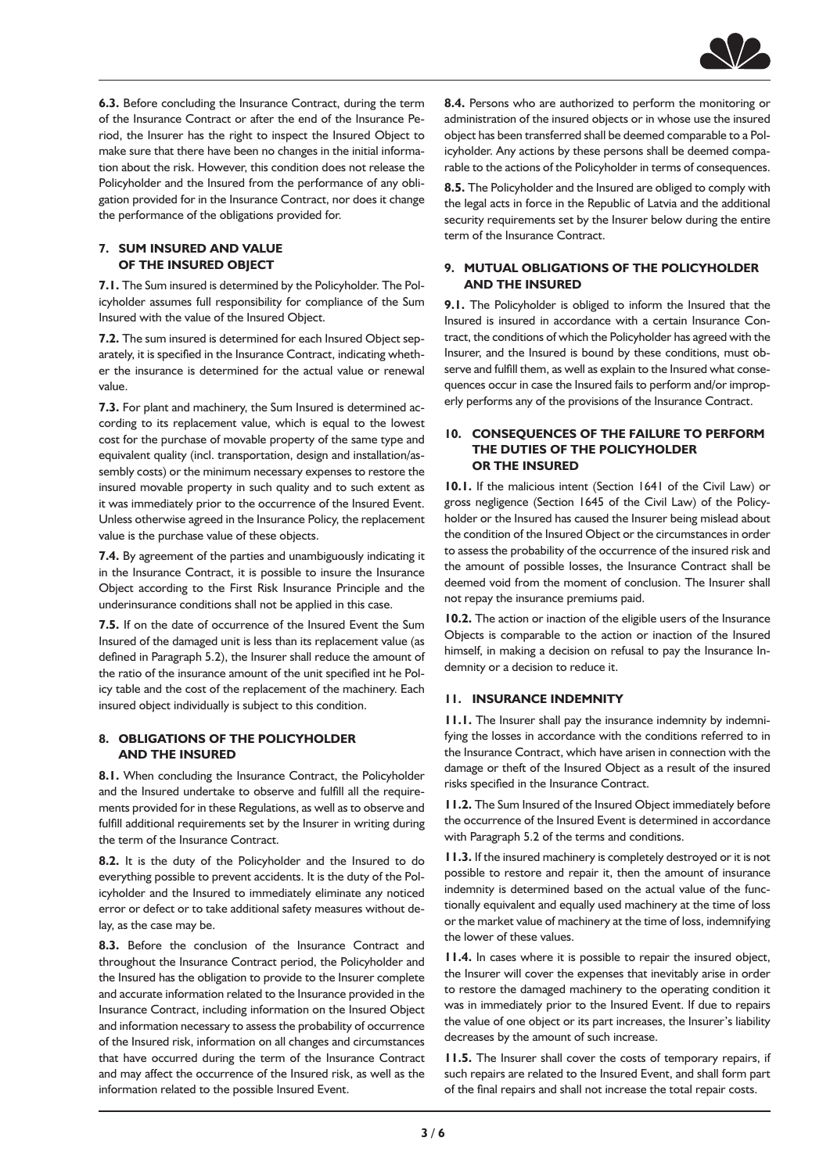

**6.3.** Before concluding the Insurance Contract, during the term of the Insurance Contract or after the end of the Insurance Period, the Insurer has the right to inspect the Insured Object to make sure that there have been no changes in the initial information about the risk. However, this condition does not release the Policyholder and the Insured from the performance of any obligation provided for in the Insurance Contract, nor does it change the performance of the obligations provided for.

#### **7. SUM INSURED AND VALUE OF THE INSURED OBJECT**

**7.1.** The Sum insured is determined by the Policyholder. The Policyholder assumes full responsibility for compliance of the Sum Insured with the value of the Insured Object.

**7.2.** The sum insured is determined for each Insured Object separately, it is specified in the Insurance Contract, indicating whether the insurance is determined for the actual value or renewal value.

**7.3.** For plant and machinery, the Sum Insured is determined according to its replacement value, which is equal to the lowest cost for the purchase of movable property of the same type and equivalent quality (incl. transportation, design and installation/assembly costs) or the minimum necessary expenses to restore the insured movable property in such quality and to such extent as it was immediately prior to the occurrence of the Insured Event. Unless otherwise agreed in the Insurance Policy, the replacement value is the purchase value of these objects.

**7.4.** By agreement of the parties and unambiguously indicating it in the Insurance Contract, it is possible to insure the Insurance Object according to the First Risk Insurance Principle and the underinsurance conditions shall not be applied in this case.

**7.5.** If on the date of occurrence of the Insured Event the Sum Insured of the damaged unit is less than its replacement value (as defined in Paragraph 5.2), the Insurer shall reduce the amount of the ratio of the insurance amount of the unit specified int he Policy table and the cost of the replacement of the machinery. Each insured object individually is subject to this condition.

#### **8. OBLIGATIONS OF THE POLICYHOLDER AND THE INSURED**

**8.1.** When concluding the Insurance Contract, the Policyholder and the Insured undertake to observe and fulfill all the requirements provided for in these Regulations, as well as to observe and fulfill additional requirements set by the Insurer in writing during the term of the Insurance Contract.

**8.2.** It is the duty of the Policyholder and the Insured to do everything possible to prevent accidents. It is the duty of the Policyholder and the Insured to immediately eliminate any noticed error or defect or to take additional safety measures without delay, as the case may be.

**8.3.** Before the conclusion of the Insurance Contract and throughout the Insurance Contract period, the Policyholder and the Insured has the obligation to provide to the Insurer complete and accurate information related to the Insurance provided in the Insurance Contract, including information on the Insured Object and information necessary to assess the probability of occurrence of the Insured risk, information on all changes and circumstances that have occurred during the term of the Insurance Contract and may affect the occurrence of the Insured risk, as well as the information related to the possible Insured Event.

**8.4.** Persons who are authorized to perform the monitoring or administration of the insured objects or in whose use the insured object has been transferred shall be deemed comparable to a Policyholder. Any actions by these persons shall be deemed comparable to the actions of the Policyholder in terms of consequences.

**8.5.** The Policyholder and the Insured are obliged to comply with the legal acts in force in the Republic of Latvia and the additional security requirements set by the Insurer below during the entire term of the Insurance Contract.

# **9. MUTUAL OBLIGATIONS OF THE POLICYHOLDER AND THE INSURED**

**9.1.** The Policyholder is obliged to inform the Insured that the Insured is insured in accordance with a certain Insurance Contract, the conditions of which the Policyholder has agreed with the Insurer, and the Insured is bound by these conditions, must observe and fulfill them, as well as explain to the Insured what consequences occur in case the Insured fails to perform and/or improperly performs any of the provisions of the Insurance Contract.

# **10. CONSEQUENCES OF THE FAILURE TO PERFORM THE DUTIES OF THE POLICYHOLDER OR THE INSURED**

**10.1.** If the malicious intent (Section 1641 of the Civil Law) or gross negligence (Section 1645 of the Civil Law) of the Policyholder or the Insured has caused the Insurer being mislead about the condition of the Insured Object or the circumstances in order to assess the probability of the occurrence of the insured risk and the amount of possible losses, the Insurance Contract shall be deemed void from the moment of conclusion. The Insurer shall not repay the insurance premiums paid.

**10.2.** The action or inaction of the eligible users of the Insurance Objects is comparable to the action or inaction of the Insured himself, in making a decision on refusal to pay the Insurance Indemnity or a decision to reduce it.

# **11. INSURANCE INDEMNITY**

**11.1.** The Insurer shall pay the insurance indemnity by indemnifying the losses in accordance with the conditions referred to in the Insurance Contract, which have arisen in connection with the damage or theft of the Insured Object as a result of the insured risks specified in the Insurance Contract.

**11.2.** The Sum Insured of the Insured Object immediately before the occurrence of the Insured Event is determined in accordance with Paragraph 5.2 of the terms and conditions.

**11.3.** If the insured machinery is completely destroyed or it is not possible to restore and repair it, then the amount of insurance indemnity is determined based on the actual value of the functionally equivalent and equally used machinery at the time of loss or the market value of machinery at the time of loss, indemnifying the lower of these values.

**11.4.** In cases where it is possible to repair the insured object, the Insurer will cover the expenses that inevitably arise in order to restore the damaged machinery to the operating condition it was in immediately prior to the Insured Event. If due to repairs the value of one object or its part increases, the Insurer's liability decreases by the amount of such increase.

**11.5.** The Insurer shall cover the costs of temporary repairs, if such repairs are related to the Insured Event, and shall form part of the final repairs and shall not increase the total repair costs.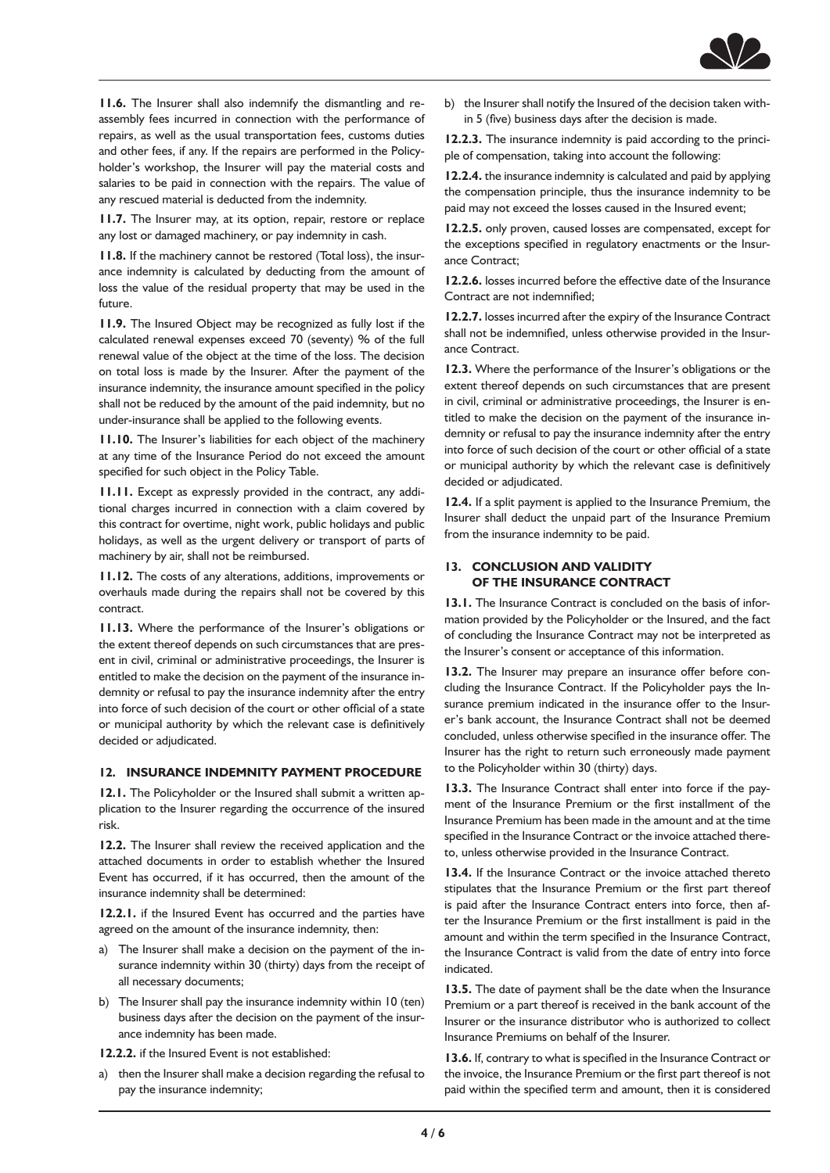

**11.6.** The Insurer shall also indemnify the dismantling and reassembly fees incurred in connection with the performance of repairs, as well as the usual transportation fees, customs duties and other fees, if any. If the repairs are performed in the Policyholder's workshop, the Insurer will pay the material costs and salaries to be paid in connection with the repairs. The value of any rescued material is deducted from the indemnity.

**11.7.** The Insurer may, at its option, repair, restore or replace any lost or damaged machinery, or pay indemnity in cash.

**11.8.** If the machinery cannot be restored (Total loss), the insurance indemnity is calculated by deducting from the amount of loss the value of the residual property that may be used in the future.

**11.9.** The Insured Object may be recognized as fully lost if the calculated renewal expenses exceed 70 (seventy) % of the full renewal value of the object at the time of the loss. The decision on total loss is made by the Insurer. After the payment of the insurance indemnity, the insurance amount specified in the policy shall not be reduced by the amount of the paid indemnity, but no under-insurance shall be applied to the following events.

**11.10.** The Insurer's liabilities for each object of the machinery at any time of the Insurance Period do not exceed the amount specified for such object in the Policy Table.

**11.11.** Except as expressly provided in the contract, any additional charges incurred in connection with a claim covered by this contract for overtime, night work, public holidays and public holidays, as well as the urgent delivery or transport of parts of machinery by air, shall not be reimbursed.

**11.12.** The costs of any alterations, additions, improvements or overhauls made during the repairs shall not be covered by this contract.

**11.13.** Where the performance of the Insurer's obligations or the extent thereof depends on such circumstances that are present in civil, criminal or administrative proceedings, the Insurer is entitled to make the decision on the payment of the insurance indemnity or refusal to pay the insurance indemnity after the entry into force of such decision of the court or other official of a state or municipal authority by which the relevant case is definitively decided or adjudicated.

# **12. INSURANCE INDEMNITY PAYMENT PROCEDURE**

**12.1.** The Policyholder or the Insured shall submit a written application to the Insurer regarding the occurrence of the insured risk.

**12.2.** The Insurer shall review the received application and the attached documents in order to establish whether the Insured Event has occurred, if it has occurred, then the amount of the insurance indemnity shall be determined:

**12.2.1.** if the Insured Event has occurred and the parties have agreed on the amount of the insurance indemnity, then:

- a) The Insurer shall make a decision on the payment of the insurance indemnity within 30 (thirty) days from the receipt of all necessary documents;
- b) The Insurer shall pay the insurance indemnity within 10 (ten) business days after the decision on the payment of the insurance indemnity has been made.

**12.2.2.** if the Insured Event is not established:

a) then the Insurer shall make a decision regarding the refusal to pay the insurance indemnity;

b) the Insurer shall notify the Insured of the decision taken within 5 (five) business days after the decision is made.

**12.2.3.** The insurance indemnity is paid according to the principle of compensation, taking into account the following:

**12.2.4.** the insurance indemnity is calculated and paid by applying the compensation principle, thus the insurance indemnity to be paid may not exceed the losses caused in the Insured event;

**12.2.5.** only proven, caused losses are compensated, except for the exceptions specified in regulatory enactments or the Insurance Contract;

**12.2.6.** losses incurred before the effective date of the Insurance Contract are not indemnified;

**12.2.7.** losses incurred after the expiry of the Insurance Contract shall not be indemnified, unless otherwise provided in the Insurance Contract.

**12.3.** Where the performance of the Insurer's obligations or the extent thereof depends on such circumstances that are present in civil, criminal or administrative proceedings, the Insurer is entitled to make the decision on the payment of the insurance indemnity or refusal to pay the insurance indemnity after the entry into force of such decision of the court or other official of a state or municipal authority by which the relevant case is definitively decided or adjudicated.

**12.4.** If a split payment is applied to the Insurance Premium, the Insurer shall deduct the unpaid part of the Insurance Premium from the insurance indemnity to be paid.

#### **13. CONCLUSION AND VALIDITY OF THE INSURANCE CONTRACT**

**13.1.** The Insurance Contract is concluded on the basis of information provided by the Policyholder or the Insured, and the fact of concluding the Insurance Contract may not be interpreted as the Insurer's consent or acceptance of this information.

13.2. The Insurer may prepare an insurance offer before concluding the Insurance Contract. If the Policyholder pays the Insurance premium indicated in the insurance offer to the Insurer's bank account, the Insurance Contract shall not be deemed concluded, unless otherwise specified in the insurance offer. The Insurer has the right to return such erroneously made payment to the Policyholder within 30 (thirty) days.

**13.3.** The Insurance Contract shall enter into force if the payment of the Insurance Premium or the first installment of the Insurance Premium has been made in the amount and at the time specified in the Insurance Contract or the invoice attached thereto, unless otherwise provided in the Insurance Contract.

**13.4.** If the Insurance Contract or the invoice attached thereto stipulates that the Insurance Premium or the first part thereof is paid after the Insurance Contract enters into force, then after the Insurance Premium or the first installment is paid in the amount and within the term specified in the Insurance Contract, the Insurance Contract is valid from the date of entry into force indicated.

**13.5.** The date of payment shall be the date when the Insurance Premium or a part thereof is received in the bank account of the Insurer or the insurance distributor who is authorized to collect Insurance Premiums on behalf of the Insurer.

**13.6.** If, contrary to what is specified in the Insurance Contract or the invoice, the Insurance Premium or the first part thereof is not paid within the specified term and amount, then it is considered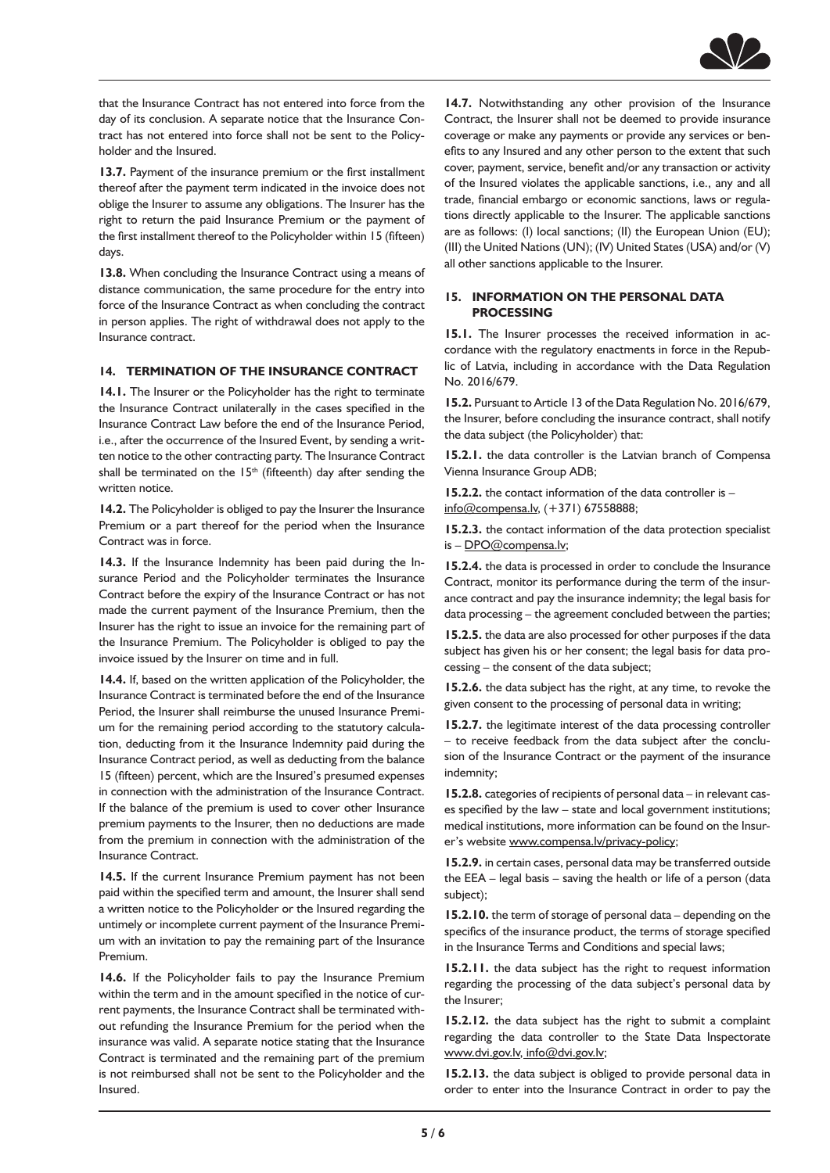

that the Insurance Contract has not entered into force from the day of its conclusion. A separate notice that the Insurance Contract has not entered into force shall not be sent to the Policyholder and the Insured.

**13.7.** Payment of the insurance premium or the first installment thereof after the payment term indicated in the invoice does not oblige the Insurer to assume any obligations. The Insurer has the right to return the paid Insurance Premium or the payment of the first installment thereof to the Policyholder within 15 (fifteen) days.

**13.8.** When concluding the Insurance Contract using a means of distance communication, the same procedure for the entry into force of the Insurance Contract as when concluding the contract in person applies. The right of withdrawal does not apply to the Insurance contract.

# **14. TERMINATION OF THE INSURANCE CONTRACT**

**14.1.** The Insurer or the Policyholder has the right to terminate the Insurance Contract unilaterally in the cases specified in the Insurance Contract Law before the end of the Insurance Period, i.e., after the occurrence of the Insured Event, by sending a written notice to the other contracting party. The Insurance Contract shall be terminated on the  $15<sup>th</sup>$  (fifteenth) day after sending the written notice.

14.2. The Policyholder is obliged to pay the Insurer the Insurance Premium or a part thereof for the period when the Insurance Contract was in force.

**14.3.** If the Insurance Indemnity has been paid during the Insurance Period and the Policyholder terminates the Insurance Contract before the expiry of the Insurance Contract or has not made the current payment of the Insurance Premium, then the Insurer has the right to issue an invoice for the remaining part of the Insurance Premium. The Policyholder is obliged to pay the invoice issued by the Insurer on time and in full.

**14.4.** If, based on the written application of the Policyholder, the Insurance Contract is terminated before the end of the Insurance Period, the Insurer shall reimburse the unused Insurance Premium for the remaining period according to the statutory calculation, deducting from it the Insurance Indemnity paid during the Insurance Contract period, as well as deducting from the balance 15 (fifteen) percent, which are the Insured's presumed expenses in connection with the administration of the Insurance Contract. If the balance of the premium is used to cover other Insurance premium payments to the Insurer, then no deductions are made from the premium in connection with the administration of the Insurance Contract.

**14.5.** If the current Insurance Premium payment has not been paid within the specified term and amount, the Insurer shall send a written notice to the Policyholder or the Insured regarding the untimely or incomplete current payment of the Insurance Premium with an invitation to pay the remaining part of the Insurance Premium.

14.6. If the Policyholder fails to pay the Insurance Premium within the term and in the amount specified in the notice of current payments, the Insurance Contract shall be terminated without refunding the Insurance Premium for the period when the insurance was valid. A separate notice stating that the Insurance Contract is terminated and the remaining part of the premium is not reimbursed shall not be sent to the Policyholder and the Insured.

14.7. Notwithstanding any other provision of the Insurance Contract, the Insurer shall not be deemed to provide insurance coverage or make any payments or provide any services or benefits to any Insured and any other person to the extent that such cover, payment, service, benefit and/or any transaction or activity of the Insured violates the applicable sanctions, i.e., any and all trade, financial embargo or economic sanctions, laws or regulations directly applicable to the Insurer. The applicable sanctions are as follows: (I) local sanctions; (II) the European Union (EU); (III) the United Nations (UN); (IV) United States (USA) and/or (V) all other sanctions applicable to the Insurer.

#### **15. INFORMATION ON THE PERSONAL DATA PROCESSING**

**15.1.** The Insurer processes the received information in accordance with the regulatory enactments in force in the Republic of Latvia, including in accordance with the Data Regulation No. 2016/679.

**15.2.** Pursuant to Article 13 of the Data Regulation No. 2016/679, the Insurer, before concluding the insurance contract, shall notify the data subject (the Policyholder) that:

**15.2.1.** the data controller is the Latvian branch of Compensa Vienna Insurance Group ADB;

**15.2.2.** the contact information of the data controller is – info@compensa.lv, (+371) 67558888;

**15.2.3.** the contact information of the data protection specialist is - [DPO@compensa.lv;](mailto:DPO@compensa.lv)

**15.2.4.** the data is processed in order to conclude the Insurance Contract, monitor its performance during the term of the insurance contract and pay the insurance indemnity; the legal basis for data processing – the agreement concluded between the parties;

**15.2.5.** the data are also processed for other purposes if the data subject has given his or her consent; the legal basis for data processing – the consent of the data subject;

**15.2.6.** the data subject has the right, at any time, to revoke the given consent to the processing of personal data in writing;

**15.2.7.** the legitimate interest of the data processing controller – to receive feedback from the data subject after the conclusion of the Insurance Contract or the payment of the insurance indemnity;

**15.2.8.** categories of recipients of personal data – in relevant cases specified by the law – state and local government institutions; medical institutions, more information can be found on the Insurer's website [www.compensa.lv/privacy-policy;](https://www.compensa.lv/privacy-policy/)

**15.2.9.** in certain cases, personal data may be transferred outside the EEA – legal basis – saving the health or life of a person (data subject):

**15.2.10.** the term of storage of personal data – depending on the specifics of the insurance product, the terms of storage specified in the Insurance Terms and Conditions and special laws;

**15.2.11.** the data subject has the right to request information regarding the processing of the data subject's personal data by the Insurer;

**15.2.12.** the data subject has the right to submit a complaint regarding the data controller to the State Data Inspectorate [www.dvi.gov.lv](https://www.dvi.gov.lv/), [info@dvi.gov.lv](mailto:info@dvi.gov.lv);

**15.2.13.** the data subject is obliged to provide personal data in order to enter into the Insurance Contract in order to pay the